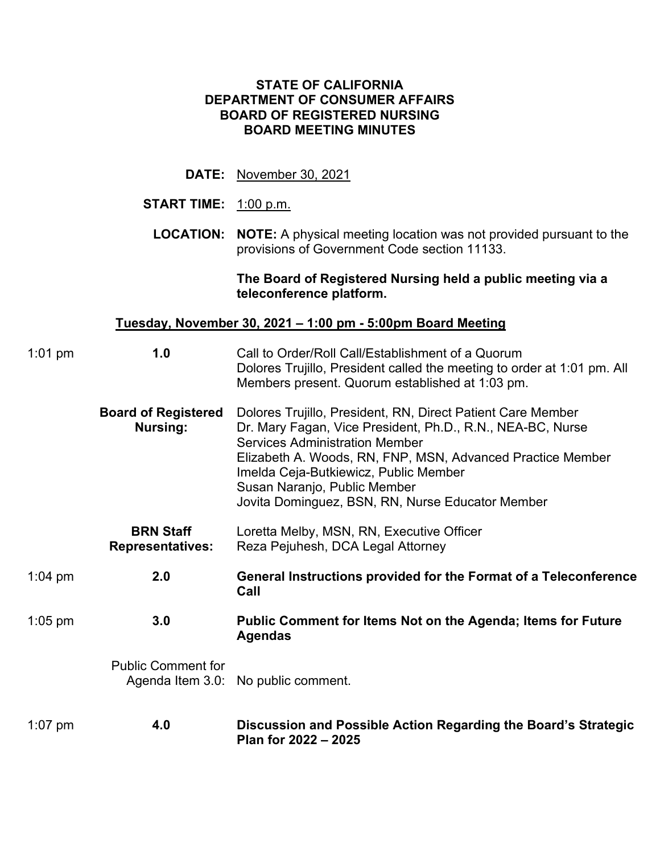### **STATE OF CALIFORNIA DEPARTMENT OF CONSUMER AFFAIRS BOARD OF REGISTERED NURSING BOARD MEETING MINUTES**

**DATE:** November 30, 2021

# **START TIME:** 1:00 p.m.

**LOCATION: NOTE:** A physical meeting location was not provided pursuant to the provisions of Government Code section 11133.

### **The Board of Registered Nursing held a public meeting via a teleconference platform.**

## **Tuesday, November 30, 2021 – 1:00 pm - 5:00pm Board Meeting**

| $1:01$ pm         | 1.0                                           | Call to Order/Roll Call/Establishment of a Quorum<br>Dolores Trujillo, President called the meeting to order at 1:01 pm. All<br>Members present. Quorum established at 1:03 pm.                                                                                                                                                                               |  |  |  |
|-------------------|-----------------------------------------------|---------------------------------------------------------------------------------------------------------------------------------------------------------------------------------------------------------------------------------------------------------------------------------------------------------------------------------------------------------------|--|--|--|
|                   | <b>Board of Registered</b><br><b>Nursing:</b> | Dolores Trujillo, President, RN, Direct Patient Care Member<br>Dr. Mary Fagan, Vice President, Ph.D., R.N., NEA-BC, Nurse<br><b>Services Administration Member</b><br>Elizabeth A. Woods, RN, FNP, MSN, Advanced Practice Member<br>Imelda Ceja-Butkiewicz, Public Member<br>Susan Naranjo, Public Member<br>Jovita Dominguez, BSN, RN, Nurse Educator Member |  |  |  |
|                   | <b>BRN Staff</b><br><b>Representatives:</b>   | Loretta Melby, MSN, RN, Executive Officer<br>Reza Pejuhesh, DCA Legal Attorney                                                                                                                                                                                                                                                                                |  |  |  |
| $1:04 \text{ pm}$ | 2.0                                           | General Instructions provided for the Format of a Teleconference<br>Call                                                                                                                                                                                                                                                                                      |  |  |  |
| $1:05$ pm         | 3.0                                           | Public Comment for Items Not on the Agenda; Items for Future<br><b>Agendas</b>                                                                                                                                                                                                                                                                                |  |  |  |
|                   | <b>Public Comment for</b>                     | Agenda Item 3.0: No public comment.                                                                                                                                                                                                                                                                                                                           |  |  |  |
| $1:07$ pm         | 4.0                                           | Discussion and Possible Action Regarding the Board's Strategic<br>Plan for 2022 - 2025                                                                                                                                                                                                                                                                        |  |  |  |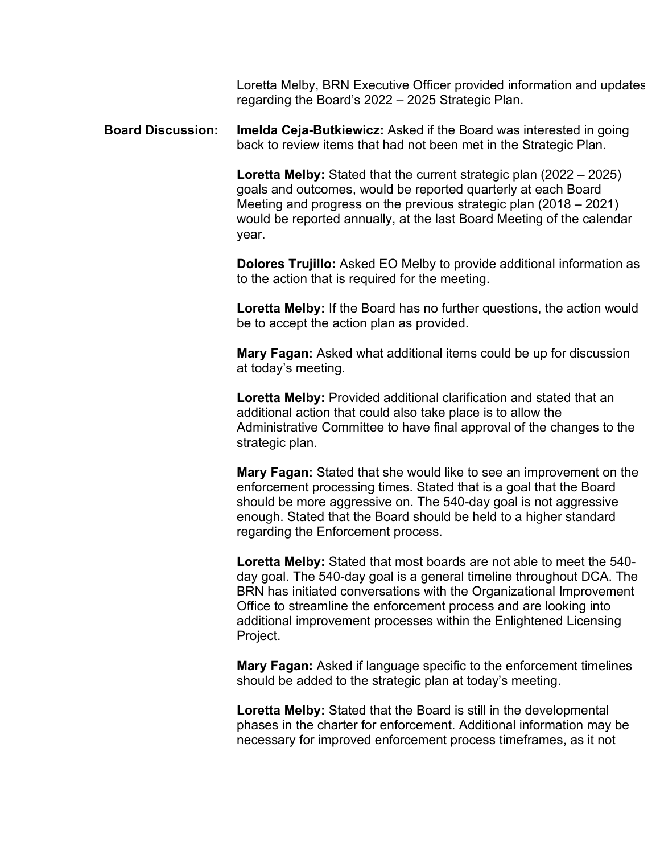Loretta Melby, BRN Executive Officer provided information and updates regarding the Board's 2022 – 2025 Strategic Plan.

**Board Discussion: Imelda Ceja-Butkiewicz:** Asked if the Board was interested in going back to review items that had not been met in the Strategic Plan.

> would be reported annually, at the last Board Meeting of the calendar **Loretta Melby:** Stated that the current strategic plan (2022 – 2025) goals and outcomes, would be reported quarterly at each Board Meeting and progress on the previous strategic plan (2018 – 2021) year.

 **Dolores Trujillo:** Asked EO Melby to provide additional information as to the action that is required for the meeting.

 **Loretta Melby:** If the Board has no further questions, the action would be to accept the action plan as provided.

**Mary Fagan:** Asked what additional items could be up for discussion at today's meeting.

**Loretta Melby:** Provided additional clarification and stated that an additional action that could also take place is to allow the Administrative Committee to have final approval of the changes to the strategic plan.

 enforcement processing times. Stated that is a goal that the Board enough. Stated that the Board should be held to a higher standard **Mary Fagan:** Stated that she would like to see an improvement on the should be more aggressive on. The 540-day goal is not aggressive regarding the Enforcement process.

 Office to streamline the enforcement process and are looking into additional improvement processes within the Enlightened Licensing **Loretta Melby:** Stated that most boards are not able to meet the 540 day goal. The 540-day goal is a general timeline throughout DCA. The BRN has initiated conversations with the Organizational Improvement Project.

 should be added to the strategic plan at today's meeting. **Mary Fagan:** Asked if language specific to the enforcement timelines

 **Loretta Melby:** Stated that the Board is still in the developmental phases in the charter for enforcement. Additional information may be necessary for improved enforcement process timeframes, as it not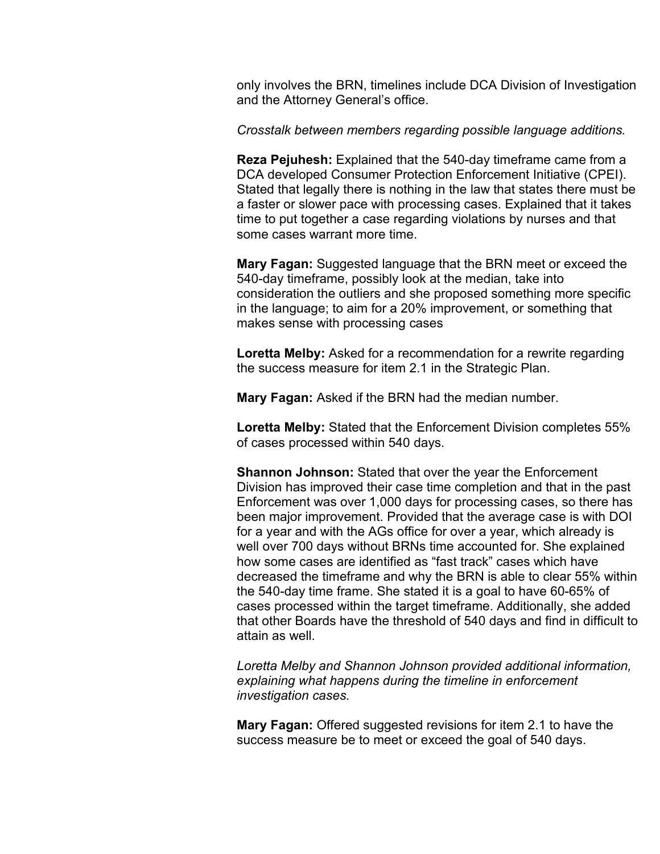only involves the BRN, timelines include DCA Division of Investigation and the Attorney General's office.

*Crosstalk between members regarding possible language additions.* 

**Reza Pejuhesh:** Explained that the 540-day timeframe came from a DCA developed Consumer Protection Enforcement Initiative (CPEI). Stated that legally there is nothing in the law that states there must be a faster or slower pace with processing cases. Explained that it takes time to put together a case regarding violations by nurses and that some cases warrant more time.

**Mary Fagan:** Suggested language that the BRN meet or exceed the 540-day timeframe, possibly look at the median, take into consideration the outliers and she proposed something more specific in the language; to aim for a 20% improvement, or something that makes sense with processing cases

 the success measure for item 2.1 in the Strategic Plan. **Loretta Melby:** Asked for a recommendation for a rewrite regarding

**Mary Fagan:** Asked if the BRN had the median number.

 of cases processed within 540 days. **Loretta Melby:** Stated that the Enforcement Division completes 55%

 **Shannon Johnson:** Stated that over the year the Enforcement Division has improved their case time completion and that in the past Enforcement was over 1,000 days for processing cases, so there has been major improvement. Provided that the average case is with DOI for a year and with the AGs office for over a year, which already is well over 700 days without BRNs time accounted for. She explained how some cases are identified as "fast track" cases which have decreased the timeframe and why the BRN is able to clear 55% within the 540-day time frame. She stated it is a goal to have 60-65% of cases processed within the target timeframe. Additionally, she added that other Boards have the threshold of 540 days and find in difficult to attain as well.

*Loretta Melby and Shannon Johnson provided additional information, explaining what happens during the timeline in enforcement investigation cases.* 

**Mary Fagan:** Offered suggested revisions for item 2.1 to have the success measure be to meet or exceed the goal of 540 days.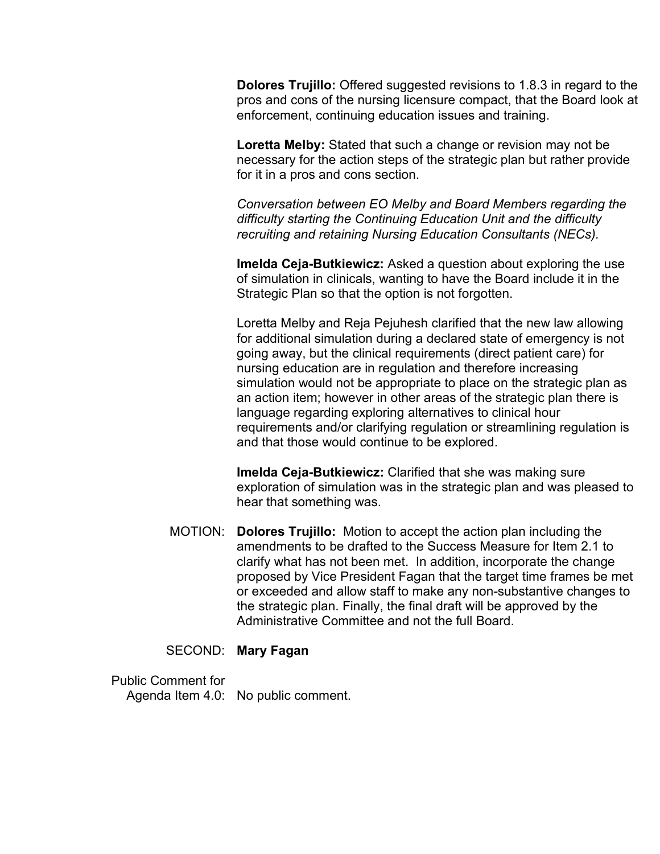**Dolores Trujillo:** Offered suggested revisions to 1.8.3 in regard to the pros and cons of the nursing licensure compact, that the Board look at enforcement, continuing education issues and training.

**Loretta Melby:** Stated that such a change or revision may not be necessary for the action steps of the strategic plan but rather provide for it in a pros and cons section.

 *Conversation between EO Melby and Board Members regarding the recruiting and retaining Nursing Education Consultants (NECs). difficulty starting the Continuing Education Unit and the difficulty* 

**Imelda Ceja-Butkiewicz:** Asked a question about exploring the use of simulation in clinicals, wanting to have the Board include it in the Strategic Plan so that the option is not forgotten.

 simulation would not be appropriate to place on the strategic plan as an action item; however in other areas of the strategic plan there is Loretta Melby and Reja Pejuhesh clarified that the new law allowing for additional simulation during a declared state of emergency is not going away, but the clinical requirements (direct patient care) for nursing education are in regulation and therefore increasing language regarding exploring alternatives to clinical hour requirements and/or clarifying regulation or streamlining regulation is and that those would continue to be explored.

 exploration of simulation was in the strategic plan and was pleased to **Imelda Ceja-Butkiewicz:** Clarified that she was making sure hear that something was.

 proposed by Vice President Fagan that the target time frames be met the strategic plan. Finally, the final draft will be approved by the MOTION: **Dolores Trujillo:** Motion to accept the action plan including the amendments to be drafted to the Success Measure for Item 2.1 to clarify what has not been met. In addition, incorporate the change or exceeded and allow staff to make any non-substantive changes to Administrative Committee and not the full Board.

## SECOND: **Mary Fagan**

Public Comment for Agenda Item 4.0: No public comment.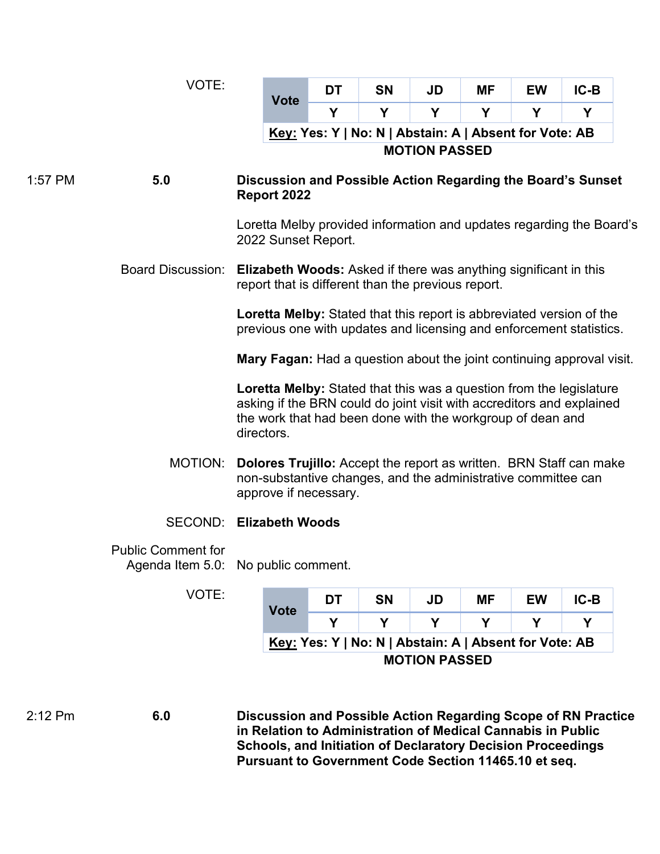|         | VOTE:                     |                                                                                                                                                                                                                                                                                                                                                                                                                                                                                        |             | <b>DT</b>                                                            | <b>SN</b>                                              | <b>JD</b>            | ΜF        | <b>EW</b> | $IC-B$         |  |
|---------|---------------------------|----------------------------------------------------------------------------------------------------------------------------------------------------------------------------------------------------------------------------------------------------------------------------------------------------------------------------------------------------------------------------------------------------------------------------------------------------------------------------------------|-------------|----------------------------------------------------------------------|--------------------------------------------------------|----------------------|-----------|-----------|----------------|--|
|         |                           | <b>Vote</b>                                                                                                                                                                                                                                                                                                                                                                                                                                                                            |             | Y                                                                    | Y                                                      | Y                    | Y         | Y         | Y              |  |
|         |                           |                                                                                                                                                                                                                                                                                                                                                                                                                                                                                        |             |                                                                      | Key: Yes: Y   No: N   Abstain: A   Absent for Vote: AB |                      |           |           |                |  |
|         |                           |                                                                                                                                                                                                                                                                                                                                                                                                                                                                                        |             |                                                                      |                                                        | <b>MOTION PASSED</b> |           |           |                |  |
| 1:57 PM | 5.0                       | Discussion and Possible Action Regarding the Board's Sunset<br>Report 2022                                                                                                                                                                                                                                                                                                                                                                                                             |             |                                                                      |                                                        |                      |           |           |                |  |
|         |                           | 2022 Sunset Report.                                                                                                                                                                                                                                                                                                                                                                                                                                                                    |             | Loretta Melby provided information and updates regarding the Board's |                                                        |                      |           |           |                |  |
|         | <b>Board Discussion:</b>  | <b>Elizabeth Woods:</b> Asked if there was anything significant in this<br>report that is different than the previous report.                                                                                                                                                                                                                                                                                                                                                          |             |                                                                      |                                                        |                      |           |           |                |  |
|         |                           | <b>Loretta Melby:</b> Stated that this report is abbreviated version of the<br>previous one with updates and licensing and enforcement statistics.                                                                                                                                                                                                                                                                                                                                     |             |                                                                      |                                                        |                      |           |           |                |  |
|         |                           | <b>Mary Fagan:</b> Had a question about the joint continuing approval visit.<br><b>Loretta Melby:</b> Stated that this was a question from the legislature<br>asking if the BRN could do joint visit with accreditors and explained<br>the work that had been done with the workgroup of dean and<br>directors.<br><b>Dolores Trujillo:</b> Accept the report as written. BRN Staff can make<br>non-substantive changes, and the administrative committee can<br>approve if necessary. |             |                                                                      |                                                        |                      |           |           |                |  |
|         |                           |                                                                                                                                                                                                                                                                                                                                                                                                                                                                                        |             |                                                                      |                                                        |                      |           |           |                |  |
|         | MOTION:                   |                                                                                                                                                                                                                                                                                                                                                                                                                                                                                        |             |                                                                      |                                                        |                      |           |           |                |  |
|         |                           | <b>SECOND: Elizabeth Woods</b>                                                                                                                                                                                                                                                                                                                                                                                                                                                         |             |                                                                      |                                                        |                      |           |           |                |  |
|         | <b>Public Comment for</b> | Agenda Item 5.0: No public comment.                                                                                                                                                                                                                                                                                                                                                                                                                                                    |             |                                                                      |                                                        |                      |           |           |                |  |
|         | VOTE:                     |                                                                                                                                                                                                                                                                                                                                                                                                                                                                                        |             | DT                                                                   | SN                                                     | <b>JD</b>            | <b>MF</b> | <b>EW</b> | $IC-B$         |  |
|         |                           |                                                                                                                                                                                                                                                                                                                                                                                                                                                                                        | <b>Vote</b> | Υ                                                                    | Y                                                      | Υ                    | Y         | Y         | Y              |  |
|         |                           |                                                                                                                                                                                                                                                                                                                                                                                                                                                                                        |             |                                                                      |                                                        |                      |           |           | $\blacksquare$ |  |

**Key: Yes: Y | No: N | Abstain: A | Absent for Vote: AB MOTION PASSED** 

2:12 Pm **6.0 Discussion and Possible Action Regarding Scope of RN Practice in Relation to Administration of Medical Cannabis in Public Schools, and Initiation of Declaratory Decision Proceedings Pursuant to Government Code Section [11465.10](https://11465.10) et seq.**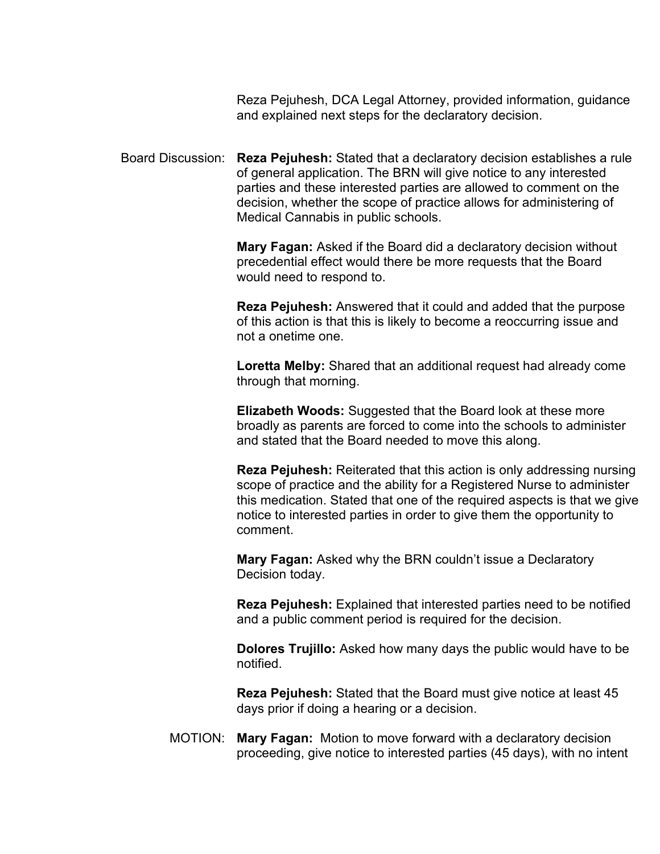Reza Pejuhesh, DCA Legal Attorney, provided information, guidance and explained next steps for the declaratory decision.

 decision, whether the scope of practice allows for administering of Board Discussion: **Reza Pejuhesh:** Stated that a declaratory decision establishes a rule of general application. The BRN will give notice to any interested parties and these interested parties are allowed to comment on the Medical Cannabis in public schools.

> **Mary Fagan:** Asked if the Board did a declaratory decision without precedential effect would there be more requests that the Board would need to respond to.

 not a onetime one. **Reza Pejuhesh:** Answered that it could and added that the purpose of this action is that this is likely to become a reoccurring issue and

**Loretta Melby:** Shared that an additional request had already come through that morning.

 broadly as parents are forced to come into the schools to administer **Elizabeth Woods:** Suggested that the Board look at these more and stated that the Board needed to move this along.

**Reza Pejuhesh:** Reiterated that this action is only addressing nursing scope of practice and the ability for a Registered Nurse to administer this medication. Stated that one of the required aspects is that we give notice to interested parties in order to give them the opportunity to comment.

**Mary Fagan:** Asked why the BRN couldn't issue a Declaratory Decision today.

**Reza Pejuhesh:** Explained that interested parties need to be notified and a public comment period is required for the decision.

 **Dolores Trujillo:** Asked how many days the public would have to be notified.

 **Reza Pejuhesh:** Stated that the Board must give notice at least 45 days prior if doing a hearing or a decision.

 MOTION: **Mary Fagan:** Motion to move forward with a declaratory decision proceeding, give notice to interested parties (45 days), with no intent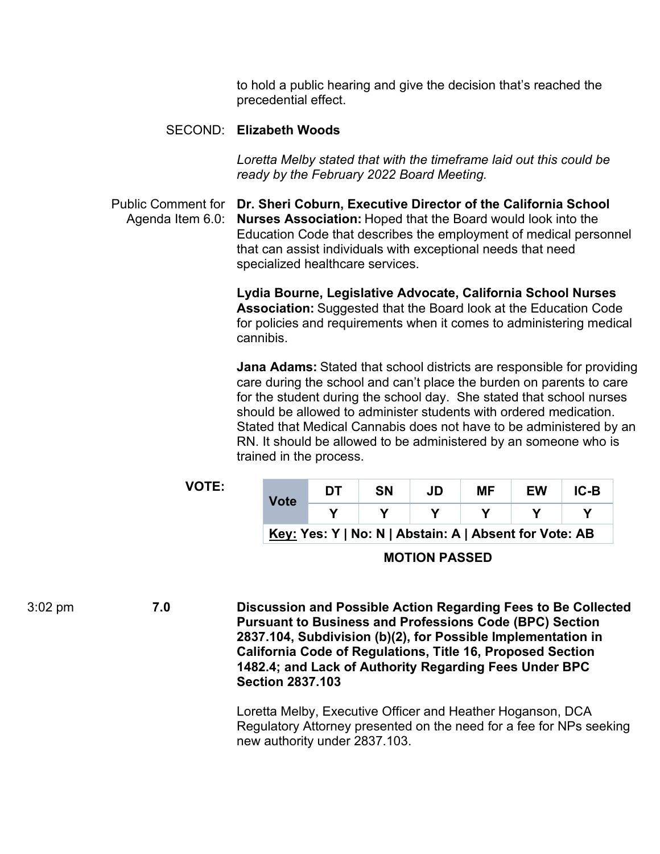precedential effect. to hold a public hearing and give the decision that's reached the

### SECOND: **Elizabeth Woods**

 *ready by the February 2022 Board Meeting. Loretta Melby stated that with the timeframe laid out this could be* 

 Agenda Item 6.0: **Nurses Association:** Hoped that the Board would look into the Education Code that describes the employment of medical personnel Public Comment for **Dr. Sheri Coburn, Executive Director of the California School**  that can assist individuals with exceptional needs that need specialized healthcare services.

> **Lydia Bourne, Legislative Advocate, California School Nurses Association:** Suggested that the Board look at the Education Code for policies and requirements when it comes to administering medical cannibis.

 care during the school and can't place the burden on parents to care should be allowed to administer students with ordered medication. RN. It should be allowed to be administered by an someone who is **Jana Adams:** Stated that school districts are responsible for providing for the student during the school day. She stated that school nurses Stated that Medical Cannabis does not have to be administered by an trained in the process.

**VOTE:** 

| Vote                                                   | DT | SΝ | JD | МF | EW | IC-B |  |  |
|--------------------------------------------------------|----|----|----|----|----|------|--|--|
|                                                        |    |    |    |    |    |      |  |  |
| Key: Yes: Y   No: N   Abstain: A   Absent for Vote: AB |    |    |    |    |    |      |  |  |

**MOTION PASSED** 

3:02 pm **7.0 Discussion and Possible Action Regarding Fees to Be Collected Pursuant to Business and Professions Code (BPC) Section 2837.104, Subdivision (b)(2), for Possible Implementation in California Code of Regulations, Title 16, Proposed Section 1482.4; and Lack of Authority Regarding Fees Under BPC Section 2837.103** 

> Loretta Melby, Executive Officer and Heather Hoganson, DCA Regulatory Attorney presented on the need for a fee for NPs seeking new authority under 2837.103.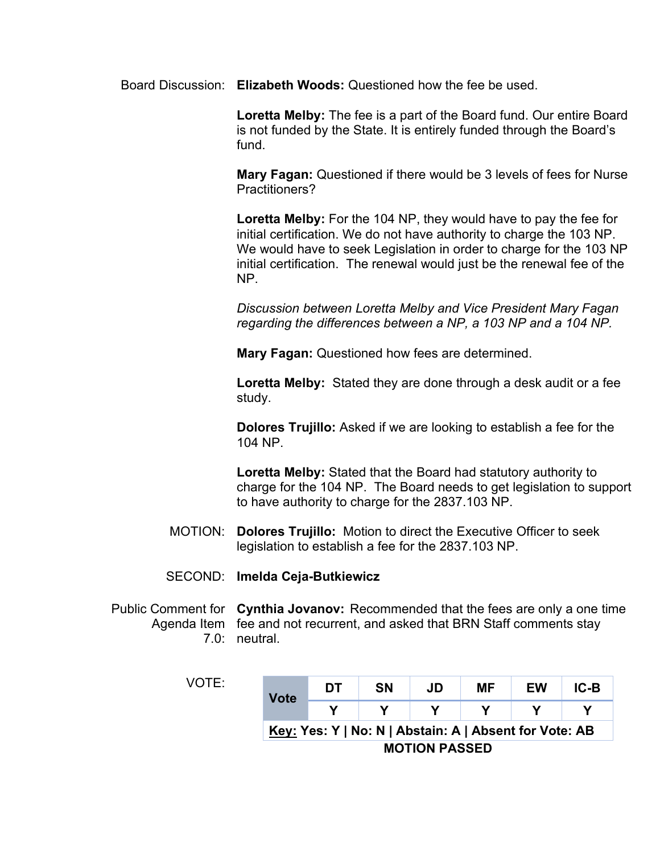Board Discussion: **Elizabeth Woods:** Questioned how the fee be used.

 fund. **Loretta Melby:** The fee is a part of the Board fund. Our entire Board is not funded by the State. It is entirely funded through the Board's

**Mary Fagan:** Questioned if there would be 3 levels of fees for Nurse Practitioners?

 initial certification. We do not have authority to charge the 103 NP. **Loretta Melby:** For the 104 NP, they would have to pay the fee for We would have to seek Legislation in order to charge for the 103 NP initial certification. The renewal would just be the renewal fee of the NP.

*Discussion between Loretta Melby and Vice President Mary Fagan regarding the differences between a NP, a 103 NP and a 104 NP.* 

**Mary Fagan:** Questioned how fees are determined.

 **Loretta Melby:** Stated they are done through a desk audit or a fee study.

**Dolores Trujillo:** Asked if we are looking to establish a fee for the 104 NP.

**Loretta Melby:** Stated that the Board had statutory authority to charge for the 104 NP. The Board needs to get legislation to support to have authority to charge for the 2837.103 NP.

MOTION: **Dolores Trujillo:** Motion to direct the Executive Officer to seek legislation to establish a fee for the 2837.103 NP.

#### SECOND: **Imelda Ceja-Butkiewicz**

 7.0: neutral. Public Comment for **Cynthia Jovanov:** Recommended that the fees are only a one time Agenda Item fee and not recurrent, and asked that BRN Staff comments stay

|--|--|

| <b>Vote</b>                                            | DТ | <b>SN</b> | JD | МF | EW | IC-B |  |  |
|--------------------------------------------------------|----|-----------|----|----|----|------|--|--|
|                                                        |    |           |    |    |    |      |  |  |
| Key: Yes: Y   No: N   Abstain: A   Absent for Vote: AB |    |           |    |    |    |      |  |  |
| <b>MOTION PASSED</b>                                   |    |           |    |    |    |      |  |  |